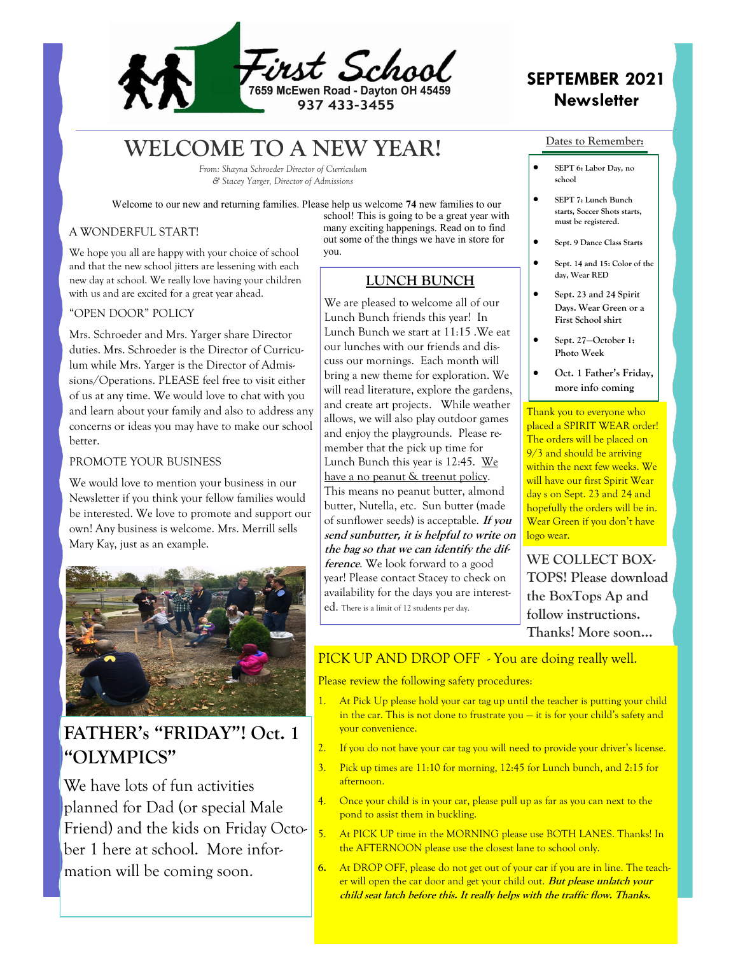

# **WELCOME TO A NEW YEAR!**

*From: Shayna Schroeder Director of Curriculum & Stacey Yarger, Director of Admissions* 

Welcome to our new and returning families. Please help us welcome **74** new families to our

### A WONDERFUL START!

We hope you all are happy with your choice of school and that the new school jitters are lessening with each new day at school. We really love having your children with us and are excited for a great year ahead.

### "OPEN DOOR" POLICY

Mrs. Schroeder and Mrs. Yarger share Director duties. Mrs. Schroeder is the Director of Curriculum while Mrs. Yarger is the Director of Admissions/Operations. PLEASE feel free to visit either of us at any time. We would love to chat with you and learn about your family and also to address any concerns or ideas you may have to make our school better.

### PROMOTE YOUR BUSINESS

We would love to mention your business in our Newsletter if you think your fellow families would be interested. We love to promote and support our own! Any business is welcome. Mrs. Merrill sells Mary Kay, just as an example.



## **FATHER's "FRIDAY"! Oct. 1 "OLYMPICS"**

We have lots of fun activities planned for Dad (or special Male Friend) and the kids on Friday October 1 here at school. More information will be coming soon.

school! This is going to be a great year with many exciting happenings. Read on to find out some of the things we have in store for you.

## **LUNCH BUNCH**

We are pleased to welcome all of our Lunch Bunch friends this year! In Lunch Bunch we start at 11:15 .We eat our lunches with our friends and discuss our mornings. Each month will bring a new theme for exploration. We will read literature, explore the gardens, and create art projects. While weather allows, we will also play outdoor games and enjoy the playgrounds. Please remember that the pick up time for Lunch Bunch this year is 12:45. We have a no peanut & treenut policy. This means no peanut butter, almond butter, Nutella, etc. Sun butter (made of sunflower seeds) is acceptable. **If you send sunbutter, it is helpful to write on the bag so that we can identify the difference**. We look forward to a good year! Please contact Stacey to check on availability for the days you are interested. There is a limit of 12 students per day.

## **SEPTEMBER 2021 Newsletter**

#### **Dates to Remember:**

- **SEPT 6: Labor Day, no school**
- **SEPT 7: Lunch Bunch starts, Soccer Shots starts, must be registered.**
- **Sept. 9 Dance Class Starts**
- **Sept. 14 and 15: Color of the day, Wear RED**
- **Sept. 23 and 24 Spirit Days. Wear Green or a First School shirt**
- **Sept. 27—October 1: Photo Week**
- **Oct. 1 Father's Friday, more info coming**

Thank you to everyone who placed a SPIRIT WEAR order! The orders will be placed on 9/3 and should be arriving within the next few weeks. We will have our first Spirit Wear day s on Sept. 23 and 24 and hopefully the orders will be in. Wear Green if you don't have logo wear.

**WE COLLECT BOX-TOPS! Please download the BoxTops Ap and follow instructions. Thanks! More soon...** 

## PICK UP AND DROP OFF - You are doing really well.

Please review the following safety procedures:

- 1. At Pick Up please hold your car tag up until the teacher is putting your child in the car. This is not done to frustrate you — it is for your child's safety and your convenience.
- 2. If you do not have your car tag you will need to provide your driver's license.
- 3. Pick up times are 11:10 for morning, 12:45 for Lunch bunch, and 2:15 for afternoon.
- 4. Once your child is in your car, please pull up as far as you can next to the pond to assist them in buckling.
- 5. At PICK UP time in the MORNING please use BOTH LANES. Thanks! In the AFTERNOON please use the closest lane to school only.
- **6.** At DROP OFF, please do not get out of your car if you are in line. The teacher will open the car door and get your child out. **But please unlatch your child seat latch before this. It really helps with the traffic flow. Thanks.**